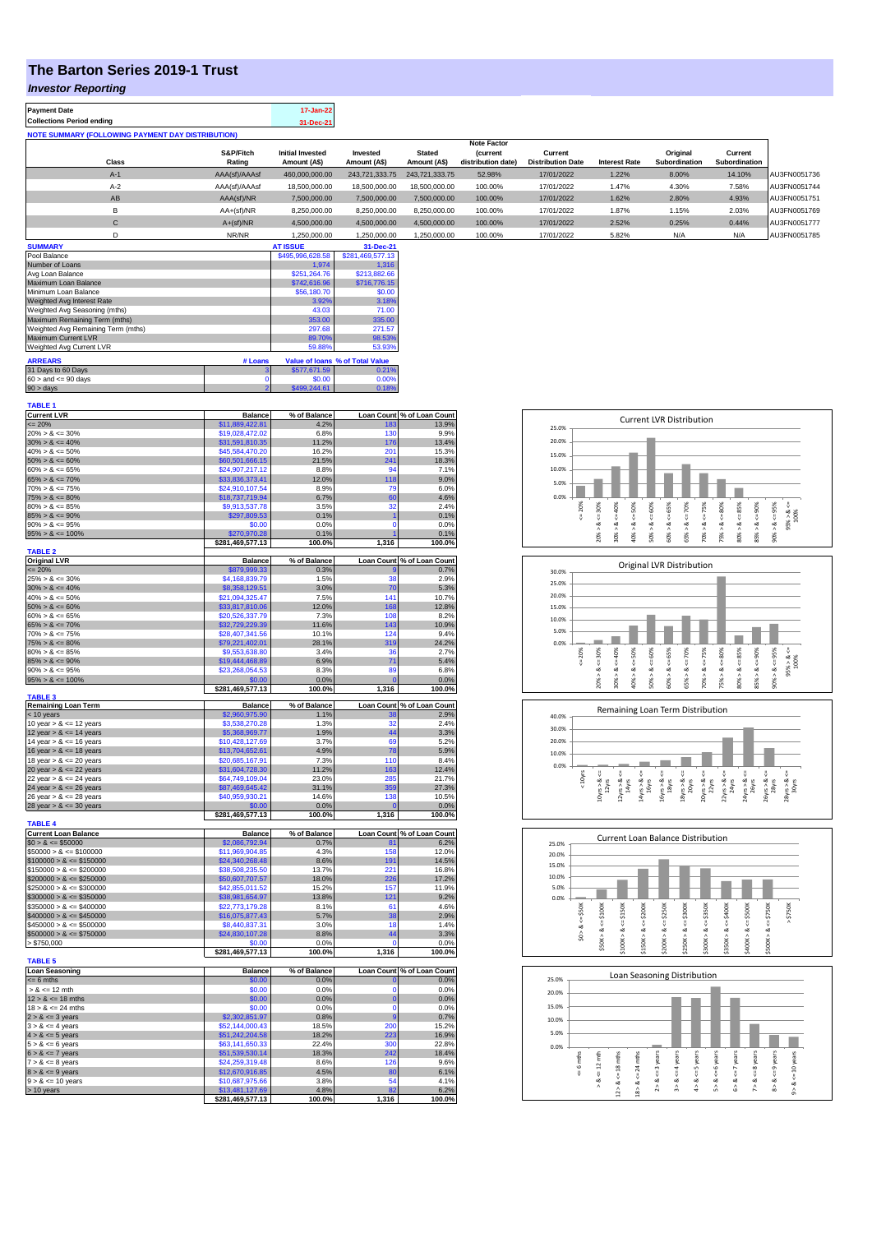## **The Barton Series 2019-1 Trust**

## *Investor Reporting*

| <b>Payment Date</b>                                      | 17-Jan-22 |
|----------------------------------------------------------|-----------|
| <b>Collections Period ending</b>                         | 31-Dec-21 |
| <b>NOTE SUMMARY (FOLLOWING PAYMENT DAY DISTRIBUTION)</b> |           |

|              |               |                         |                |                | <b>Note Factor</b> |                          |                      |               |               |              |
|--------------|---------------|-------------------------|----------------|----------------|--------------------|--------------------------|----------------------|---------------|---------------|--------------|
|              | S&P/Fitch     | <b>Initial Invested</b> | Invested       | <b>Stated</b>  | <i>(current</i>    | Current                  |                      | Original      | Current       |              |
| Class        | Rating        | Amount (A\$)            | Amount (A\$)   | Amount (A\$)   | distribution date) | <b>Distribution Date</b> | <b>Interest Rate</b> | Subordination | Subordination |              |
| $A-1$        | AAA(sf)/AAAsf | 460.000.000.00          | 243.721.333.75 | 243.721.333.75 | 52.98%             | 17/01/2022               | 1.22%                | 8.00%         | 14.10%        | AU3FN0051736 |
| $A-2$        | AAA(sf)/AAAsf | 18,500,000,00           | 18,500,000,00  | 18,500,000,00  | 100.00%            | 17/01/2022               | 1.47%                | 4.30%         | 7.58%         | AU3FN0051744 |
| AB           | AAA(sf)/NR    | 7.500.000.00            | 7.500.000.00   | 7.500.000.00   | 100.00%            | 17/01/2022               | 1.62%                | 2.80%         | 4.93%         | AU3FN0051751 |
| в            | AA+(sf)/NR    | 8.250.000.00            | 8.250.000.00   | 8.250.000.00   | 100.00%            | 17/01/2022               | 1.87%                | 1.15%         | 2.03%         | AU3FN0051769 |
| $\sim$<br>v  | $A+(sf)/NR$   | 4.500.000.00            | 4.500.000.00   | 4.500.000.00   | 100.00%            | 17/01/2022               | 2.52%                | 0.25%         | 0.44%         | AU3FN0051777 |
|              | NR/NR         | 1,250,000.00            | 1,250,000.00   | 1,250,000.00   | 100.00%            | 17/01/2022               | 5.82%                | N/A           | N/A           | AU3FN0051785 |
| ------------ |               | ------------            |                |                |                    |                          |                      |               |               |              |

| <b>SUMMARY</b>                     |         | <b>AT ISSUE</b>  | 31-Dec-21                       |
|------------------------------------|---------|------------------|---------------------------------|
| Pool Balance                       |         | \$495,996,628.58 | \$281,469,577.13                |
| Number of Loans                    |         | 1.974            | 1.316                           |
| Avg Loan Balance                   |         | \$251.264.76     | \$213,882.66                    |
| Maximum Loan Balance               |         | \$742,616.96     | \$716,776.15                    |
| Minimum Loan Balance               |         | \$56,180.70      | \$0.00                          |
| Weighted Avg Interest Rate         |         | 3.92%            | 3.18%                           |
| Weighted Avg Seasoning (mths)      |         | 43.03            | 71.00                           |
| Maximum Remaining Term (mths)      |         | 353.00           | 335.00                          |
| Weighted Avg Remaining Term (mths) |         | 297.68           | 271.57                          |
| Maximum Current LVR                |         | 89.70%           | 98.53%                          |
| Weighted Avg Current LVR           |         | 59.88%           | 53.93%                          |
| <b>ARREARS</b>                     | # Loans |                  | Value of Ioans % of Total Value |
| 31 Days to 60 Days                 | 3       | \$577,671.59     | 0.21%                           |
| $60 >$ and $\leq 90$ days          | 0       | \$0.00           | 0.00%                           |
| 90 > days                          | 2       | \$499,244.61     | 0.18%                           |

| <b>TABLE 1</b>                               |                                    |                |                            |                            |
|----------------------------------------------|------------------------------------|----------------|----------------------------|----------------------------|
| <b>Current LVR</b>                           | <b>Balance</b>                     | % of Balance   |                            | Loan Count % of Loan Count |
| $= 20%$                                      | \$11,889,422.81                    | 4.2%           | 183                        | 13.9%                      |
| $20\% > 8 \le 30\%$                          | \$19,028,472.02                    | 6.8%           | 130                        | 9.9%                       |
| $30\% > 8 \le 40\%$                          | \$31,591,810.35                    | 11.2%          | 176                        | 13.4%                      |
| $40\% > 8 \le 50\%$                          | \$45,584,470.20                    | 16.2%          | 201                        | 15.3%                      |
| $50\% > 8 \le 60\%$<br>$60\% > 8 \le 65\%$   | \$60,501,666.15<br>\$24,907,217.12 | 21.5%<br>8.8%  | 241<br>94                  | 18.3%<br>7.1%              |
| $65\% > 8 \le 70\%$                          | \$33,836,373.41                    | 12.0%          | 118                        | 9.0%                       |
| $70\% > 8 \le 75\%$                          | \$24,910,107.54                    | 8.9%           | 79                         | 6.0%                       |
| $75\% > 8 \le 80\%$                          | \$18,737,719.94                    | 6.7%           | 60                         | 4.6%                       |
| $80\% > 8 \le 85\%$                          | \$9,913,537.78                     | 3.5%           | 32                         | 2.4%                       |
| $85\% > 8 \le 90\%$                          | \$297,809.53                       | 0.1%           | 1                          | 0.1%                       |
| $90\% > 8 \le 95\%$                          | \$0.00                             | 0.0%           | $\Omega$                   | 0.0%                       |
| $95\% > 8 \le 100\%$                         | \$270,970.28                       | 0.1%           |                            | 0.1%                       |
|                                              | \$281,469,577.13                   | 100.0%         | 1,316                      | 100.0%                     |
| <b>TABLE 2</b>                               |                                    |                |                            |                            |
| <b>Original LVR</b>                          | <b>Balance</b>                     | % of Balance   |                            | Loan Count % of Loan Count |
| $= 20%$                                      | \$879,999.33                       | 0.3%           |                            | 0.7%                       |
| $25\% > 8 \le 30\%$                          | \$4,168,839.79                     | 1.5%           | 38                         | 2.9%                       |
| $30\% > 8 \le 40\%$                          | \$8,358,129.51                     | 3.0%           | 70                         | 5.3%                       |
| $40\% > 8 \le 50\%$                          | \$21,094,325.47                    | 7.5%           | 141                        | 10.7%                      |
| $50\% > 8 \le 60\%$                          | \$33,817,810.06                    | 12.0%          | 168                        | 12.8%                      |
| $60\% > 8 \le 65\%$                          | \$20,526,337.79                    | 7.3%           | 108                        | 8.2%                       |
| $65\% > 8 \le 70\%$                          | \$32,729,229.39                    | 11.6%          | 143<br>124                 | 10.9%                      |
| $70\% > 8 \le 75\%$                          | \$28,407,341.56                    | 10.1%          |                            | 9.4%                       |
| $75\% > 8 \le 80\%$<br>$80\% > 8 \le 85\%$   | \$79,221,402.01<br>\$9,553,638.80  | 28.1%<br>3.4%  | 319<br>36                  | 24.2%<br>2.7%              |
| $85\% > 8 \le 90\%$                          | \$19,444,468.89                    | 6.9%           | 71                         | 5.4%                       |
| $90\% > 8 \le 95\%$                          | \$23,268,054.53                    | 8.3%           | 89                         | 6.8%                       |
| $95\% > 8 \le 100\%$                         | \$0.00                             | 0.0%           |                            | 0.0%                       |
|                                              | \$281,469,577.13                   | 100.0%         | 1,316                      | 100.0%                     |
| <b>TABLE 3</b>                               |                                    |                |                            |                            |
| <b>Remaining Loan Term</b>                   | <b>Balance</b>                     | % of Balance   |                            | Loan Count % of Loan Count |
| < 10 years                                   | \$2,960,975.90                     | 1.1%           | 38                         | 2.9%                       |
| 10 year $> 8 \le 12$ years                   | \$3,538,270.28                     | 1.3%           | 32                         | 2.4%                       |
| 12 year $> 8 \le 14$ years                   | \$5,368,969.77                     | 1.9%           | 44                         | 3.3%                       |
| 14 year $> 8 \le 16$ years                   | \$10,428,127.69                    | 3.7%           | 69                         | 5.2%                       |
| 16 year $> 8 \le 18$ years                   | \$13,704,652.61                    | 4.9%           | 78                         | 5.9%                       |
| 18 year $> 8 \le 20$ years                   | \$20,685,167.91                    | 7.3%           | 110                        | 8.4%                       |
| 20 year $> 8 \le 22$ years                   | \$31,604,728.30                    | 11.2%          | 163                        | 12.4%                      |
| 22 year $> 8 \le 24$ years                   | \$64,749,109.04                    | 23.0%          | 285                        | 21.7%                      |
| 24 year $> 8 \le 26$ years                   | \$87,469,645.42                    | 31.1%          | 359                        | 27.3%                      |
| 26 year $> 8 \le 28$ years                   | \$40,959,930.21                    | 14.6%          | 138<br>$\mathbf{0}$        | 10.5%                      |
| 28 year $> 8 \le 30$ years                   | \$0.00<br>\$281,469,577.13         | 0.0%<br>100.0% | 1,316                      | 0.0%<br>100.0%             |
| <b>TABLE 4</b>                               |                                    |                |                            |                            |
| <b>Current Loan Balance</b>                  | <b>Balance</b>                     | % of Balance   | <b>Loan Count</b>          | % of Loan Count            |
| $$0 > 8 \le $50000$                          | \$2,086,792.94                     | 0.7%           | 81                         | 6.2%                       |
| $$50000 > 8 \le $100000$                     | \$11,969,904.85                    | 4.3%           | 158                        | 12.0%                      |
| $$100000 > 8 \leq $150000$                   | \$24,340,268.48                    | 8.6%           | 191                        | 14.5%                      |
| $$150000 > 8 \le $200000$                    | \$38,508,235.50                    | 13.7%          | 221                        | 16.8%                      |
| $$200000 > 8 \leq $250000$                   | \$50,607,707.57                    | 18.0%          | 226                        | 17.2%                      |
| $$250000 > 8 \le $300000$                    | \$42,855,011.52                    | 15.2%          | 157                        | 11.9%                      |
| $$300000 > 8 \leq $350000$                   | \$38,981,654.97                    | 13.8%          | 121                        | 9.2%                       |
| $$350000 > 8 \le $400000$                    | \$22,773,179.28                    | 8.1%           | 61                         | 4.6%                       |
| $$400000 > 8 \le $450000$                    | \$16,075,877.43                    | 5.7%           | 38                         | 2.9%                       |
| $$450000 > 8 \le $500000$                    | \$8,440,837.31                     | 3.0%           | 18                         | 1.4%                       |
| $$500000 > 8 \le $750000$                    | \$24,830,107.28                    | 8.8%           | 44                         | 3.3%                       |
| > \$750,000                                  | \$0.00                             | 0.0%           | O                          | 0.0%                       |
|                                              | \$281,469,577.13                   | 100.0%         | 1,316                      | 100.0%                     |
| <b>TABLE 5</b>                               |                                    |                |                            |                            |
| <b>Loan Seasoning</b>                        | <b>Balance</b>                     | % of Balance   |                            | Loan Count % of Loan Count |
| $= 6$ mths<br>$> 8 \le 12$ mth               | \$0.00                             | 0.0%           | $\mathbf 0$<br>$\mathbf 0$ | 0.0%                       |
|                                              | \$0.00                             | 0.0%           |                            | 0.0%                       |
| $12 > 8 \le 18$ mths<br>$18 > 8 \le 24$ mths | \$0.00<br>\$0.00                   | 0.0%<br>0.0%   | $\mathbf 0$<br>$\mathbf 0$ | 0.0%<br>0.0%               |
| $2 > 8 \le 3$ years                          | \$2,302,851.97                     | 0.8%           | 9                          | 0.7%                       |
| $3 > 8 \le 4$ years                          | \$52,144,000.43                    | 18.5%          | 200                        | 15.2%                      |
| $4 > 8 \le 5$ years                          | \$51,242,204.58                    | 18.2%          | 223                        | 16.9%                      |
| $5 > 8 \le 6$ years                          | \$63,141,650.33                    | 22.4%          | 300                        | 22.8%                      |
| $6 > 8 \le 7$ years                          | \$51,539,530.14                    | 18.3%          | 242                        | 18.4%                      |
| $7 > 8 \le 8$ years                          | \$24.259.319.48                    | 8.6%           | 126                        | 9.6%                       |
| $8 > 8 \le 9$ years                          | \$12,670,916.85                    | 4.5%           | 80                         | 6.1%                       |
| $9 > 8 \le 10$ years                         | \$10,687,975.66                    | 3.8%           | 54                         | 4.1%                       |
| $> 10$ years                                 | \$13,481,127.69                    | 4.8%           | 82                         | 6.2%                       |
|                                              | \$281,469,577.13                   | 100.0%         | 1,316                      | 100.0%                     |
|                                              |                                    |                |                            |                            |







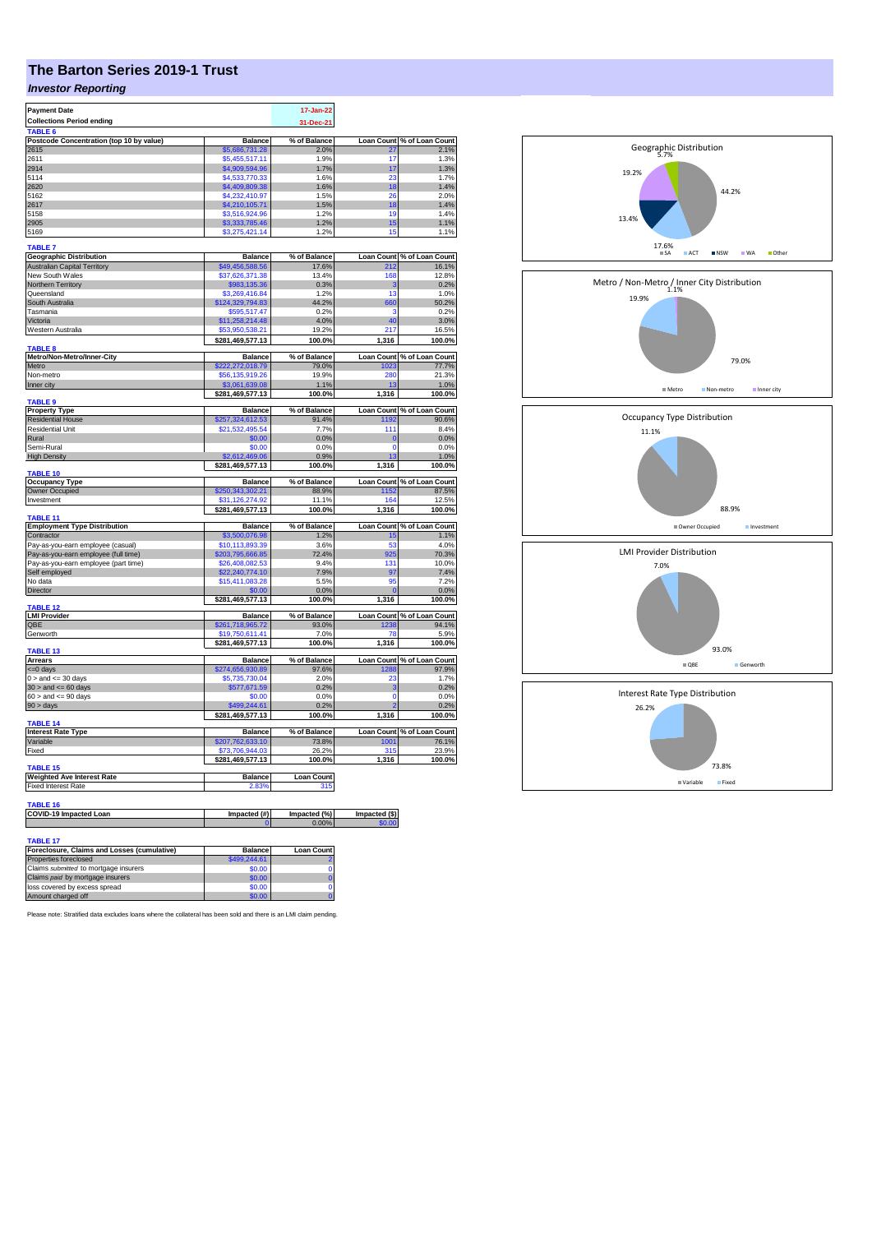## **The Barton Series 2019-1 Trust**

## *Investor Reporting*

| <b>Payment Date</b>                                            |                        | 17-Jan-22             |                         |                                 |
|----------------------------------------------------------------|------------------------|-----------------------|-------------------------|---------------------------------|
| <b>Collections Period ending</b>                               |                        | 31-Dec-21             |                         |                                 |
| TABLE <sub>6</sub>                                             |                        |                       |                         |                                 |
| Postcode Concentration (top 10 by value)                       | <b>Balance</b>         | % of Balance          | Loan Count              | % of Loan Count                 |
| 2615                                                           | \$5,686,731.28         | 2.0%                  | 27                      | 2.1%                            |
| 2611                                                           | \$5,455,517.11         | 1.9%                  | 17                      | 1.3%                            |
| 2914                                                           | \$4,909,594.96         | 1.7%                  | 17                      | 1.3%                            |
| 5114                                                           | \$4,533,770.33         | 1.6%                  | 23                      | 1.7%                            |
| 2620                                                           | \$4,409,809.38         | 1.6%                  | 18                      | 1.4%                            |
| 5162                                                           | \$4,232,410.97         | 1.5%                  | 26                      | 2.0%                            |
| 2617                                                           | \$4,210,105.71         | 1.5%                  | 18                      | 1.4%                            |
| 5158                                                           | \$3,516,924.96         | 1.2%                  | 19                      | 1.4%                            |
| 2905                                                           | \$3,333,785.46         | 1.2%<br>1.2%          | 15<br>15                | 1.1%                            |
| 5169                                                           | \$3,275,421.14         |                       |                         | 1.1%                            |
| <b>TABLE 7</b>                                                 |                        |                       |                         |                                 |
| <b>Geographic Distribution</b>                                 | <b>Balance</b>         | % of Balance          | <b>Loan Count</b>       | % of Loan Count                 |
| <b>Australian Capital Territory</b>                            | \$49,456,588.56        | 17.6%                 | 212                     | 16.1%                           |
| New South Wales                                                | \$37,626,371.38        | 13.4%                 | 168                     | 12.8%                           |
| Northern Territory                                             | \$983,135.36           | 0.3%                  | 3                       | 0.2%                            |
| Queensland                                                     | \$3,269,416.84         | 1.2%                  | 13                      | 1.0%                            |
| South Australia                                                | \$124,329,794.83       | 44.2%                 | 660                     | 50.2%                           |
| Tasmania                                                       | \$595,517.47           | 0.2%                  | ş                       | 0.2%                            |
| Victoria                                                       | \$11,258,214.48        | 4.0%                  | 40                      | 3.0%                            |
| Western Australia                                              | \$53,950,538.21        | 19.2%                 | 217                     | 16.5%                           |
|                                                                | \$281,469,577.13       | 100.0%                | 1,316                   | 100.0%                          |
| <b>TABLE 8</b>                                                 |                        |                       |                         |                                 |
| Metro/Non-Metro/Inner-City                                     | <b>Balance</b>         | % of Balance          |                         | Loan Count % of Loan Count      |
| Metro                                                          | \$222,272,018.79       | 79.0%                 | 1023                    | 77.7%                           |
| Non-metro                                                      | \$56,135,919.26        | 19.9%                 | 280                     | 21.3%                           |
| Inner city                                                     | \$3,061,639.08         | 1.1%<br>100.0%        | 13<br>1,316             | 1.0%                            |
| <b>TABLE 9</b>                                                 | \$281,469,577.13       |                       |                         | 100.0%                          |
| <b>Property Type</b>                                           | <b>Balance</b>         | % of Balance          |                         | Loan Count % of Loan Count      |
| <b>Residential House</b>                                       | \$257,324,612.53       | 91.4%                 | 1192                    | 90.6%                           |
| <b>Residential Unit</b>                                        | \$21,532,495.54        | 7.7%                  | 111                     | 8.4%                            |
| Rural                                                          | \$0.00                 | 0.0%                  | $\overline{0}$          | 0.0%                            |
| Semi-Rural                                                     | \$0.00                 | 0.0%                  | $\Omega$                | 0.0%                            |
| <b>High Density</b>                                            | \$2,612,469.06         | 0.9%                  | 13                      | 1.0%                            |
|                                                                | \$281,469,577.13       | 100.0%                | 1,316                   | 100.0%                          |
| <b>TABLE 10</b>                                                |                        |                       |                         |                                 |
| <b>Occupancy Type</b>                                          | <b>Balance</b>         | % of Balance          |                         | Loan Count % of Loan Count      |
|                                                                |                        |                       |                         |                                 |
| Owner Occupied                                                 | \$250,343,302.21       | 88.9%                 | 1152                    | 87.5%                           |
| Investment                                                     | \$31,126,274.92        | 11.1%                 | 164                     | 12.5%                           |
|                                                                | \$281,469,577.13       | 100.0%                | 1,316                   | 100.0%                          |
| <b>TABLE 11</b>                                                |                        |                       |                         |                                 |
| <b>Employment Type Distribution</b>                            | <b>Balance</b>         | % of Balance          | <b>Loan Count</b>       |                                 |
| Contractor                                                     | \$3,500,076.98         | 1.2%<br>3.6%          | 15<br>53                | % of Loan Count<br>1.1%<br>4.0% |
| Pay-as-you-earn employee (casual)                              | \$10,113,893.39        |                       |                         |                                 |
| Pay-as-you-earn employee (full time)                           | \$203,795,666.85       | 72.4%<br>9.4%         | 925<br>131              | 70.3%                           |
| Pay-as-you-earn employee (part time)                           | \$26,408,082.53        |                       |                         | 10.0%                           |
| Self employed<br>No data                                       | \$22,240,774.10        | 7.9%<br>5.5%          | 97<br>95                | 7.4%<br>7.2%                    |
|                                                                | \$15,411,083.28        |                       | $\sqrt{ }$              |                                 |
| Director                                                       | \$0.00                 | 0.0%                  |                         | 0.0%                            |
| TABLE 12                                                       | \$281,469,577.13       | 100.0%                | 1,316                   | 100.0%                          |
| <b>LMI Provider</b>                                            | <b>Balance</b>         | % of Balance          |                         | Loan Count % of Loan Count      |
| QBE                                                            | \$261,718,965.72       | 93.0%                 | 1238                    | 94.1%                           |
| Genworth                                                       | \$19,750,611.41        | 7.0%                  | 78                      | 5.9%                            |
|                                                                | \$281,469,577.13       | 100.0%                | 1,316                   | 100.0%                          |
| TABLE 13                                                       |                        |                       |                         |                                 |
| <b>Arrears</b>                                                 | <b>Balance</b>         | % of Balance          |                         | Loan Count % of Loan Count      |
| $= 0$ days                                                     | \$274,656,930.89       | 97.6%                 | 1288                    | 97.9%                           |
| $0 >$ and $\leq 30$ days                                       | \$5,735,730.04         | 2.0%                  | 23                      | 1.7%                            |
| $30 >$ and $\leq 60$ days                                      | \$577,671.59<br>\$0.00 | 0.2%<br>0.0%          | 3<br>$\Omega$           | 0.2%<br>0.0%                    |
| $60 >$ and $\leq 90$ days                                      |                        |                       |                         |                                 |
| 90 > days                                                      | \$499.244.61           | 0.2%                  |                         | 0.2%                            |
| TABLE 14                                                       | \$281,469,577.13       | 100.0%                | 1,316                   | 100.0%                          |
| <b>Interest Rate Type</b>                                      | <b>Balance</b>         | % of Balance          |                         | Loan Count % of Loan Count      |
| Variable                                                       | \$207,762,633.10       | 73.8%                 | 1001                    | 76.1%                           |
| Fixed                                                          | \$73,706,944.03        | 26.2%                 | 315                     | 23.9%                           |
|                                                                | \$281,469,577.13       | 100.0%                | 1,316                   | 100.0%                          |
| <b>TABLE 15</b>                                                |                        |                       |                         |                                 |
| <b>Weighted Ave Interest Rate</b>                              | Balance                | <b>Loan Count</b>     |                         |                                 |
| <b>Fixed Interest Rate</b>                                     | 2.83%                  | 315                   |                         |                                 |
|                                                                |                        |                       |                         |                                 |
| TABLE 16                                                       |                        |                       |                         |                                 |
| COVID-19 Impacted Loan                                         | Impacted (#)           | Impacted (%)<br>0.00% | Impacted (\$)<br>\$0.00 |                                 |
|                                                                |                        |                       |                         |                                 |
| <b>TABLE 17</b><br>Foreclosure, Claims and Losses (cumulative) | <b>Balance</b>         | <b>Loan Count</b>     |                         |                                 |

| Foreclosure, Claims and Losses (cumulative) | <b>Balance</b> | <b>Loan Count</b> |
|---------------------------------------------|----------------|-------------------|
| Properties foreclosed                       | \$499,244.61   |                   |
| Claims submitted to mortgage insurers       | \$0.00         |                   |
| Claims paid by mortgage insurers            | \$0.00         |                   |
| loss covered by excess spread               | \$0.00         |                   |
| Amount charged off                          | \$0.00         |                   |

Please note: Stratified data excludes loans where the collateral has been sold and there is an LMI claim pending.